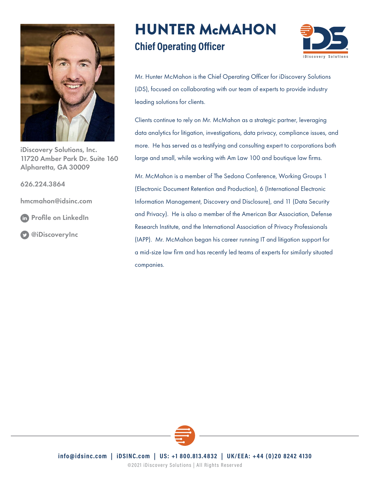

iDiscovery Solutions, Inc. 11720 Amber Park Dr. Suite 160 Alpharetta, GA 30009

626.224.3864

[hmcmahon@idsinc.com](mailto:hmcmahon@idsinc.com
)

[Profile on LinkedIn](https://www.linkedin.com/in/hunterwmcmahon)

[@iDiscoveryInc](https://twitter.com/iDiscoveryInc)

# HUNTER McMAHON **Chief Operating Officer**



Mr. Hunter McMahon is the Chief Operating Officer for iDiscovery Solutions (iDS), focused on collaborating with our team of experts to provide industry leading solutions for clients.

Clients continue to rely on Mr. McMahon as a strategic partner, leveraging data analytics for litigation, investigations, data privacy, compliance issues, and more. He has served as a testifying and consulting expert to corporations both large and small, while working with Am Law 100 and boutique law firms.

Mr. McMahon is a member of The Sedona Conference, Working Groups 1 (Electronic Document Retention and Production), 6 (International Electronic Information Management, Discovery and Disclosure), and 11 (Data Security and Privacy). He is also a member of the American Bar Association, Defense Research Institute, and the International Association of Privacy Professionals (IAPP). Mr. McMahon began his career running IT and litigation support for a mid-size law firm and has recently led teams of experts for similarly situated companies.



info@idsinc.com | iDSINC.com | US: +1 800.813.4832 | UK/EEA: +44 (0)20 8242 4130

©2021 iDiscovery Solutions | All Rights Reserved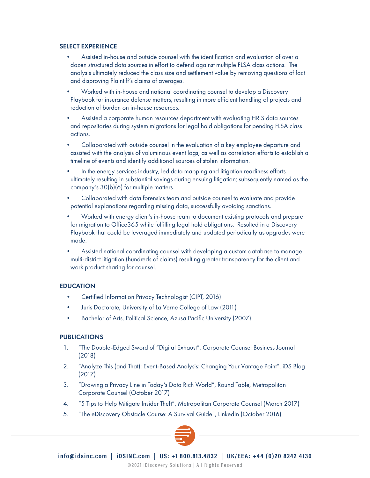## SELECT EXPERIENCE

- Assisted in-house and outside counsel with the identification and evaluation of over a dozen structured data sources in effort to defend against multiple FLSA class actions. The analysis ultimately reduced the class size and settlement value by removing questions of fact and disproving Plaintiff's claims of averages.
- Worked with in-house and national coordinating counsel to develop a Discovery Playbook for insurance defense matters, resulting in more efficient handling of projects and reduction of burden on in-house resources.
- Assisted a corporate human resources department with evaluating HRIS data sources and repositories during system migrations for legal hold obligations for pending FLSA class actions.
- Collaborated with outside counsel in the evaluation of a key employee departure and assisted with the analysis of voluminous event logs, as well as correlation efforts to establish a timeline of events and identify additional sources of stolen information.
- In the energy services industry, led data mapping and litigation readiness efforts ultimately resulting in substantial savings during ensuing litigation; subsequently named as the company's 30(b)(6) for multiple matters.
- Collaborated with data forensics team and outside counsel to evaluate and provide potential explanations regarding missing data, successfully avoiding sanctions.
- Worked with energy client's in-house team to document existing protocols and prepare for migration to Office365 while fulfilling legal hold obligations. Resulted in a Discovery Playbook that could be leveraged immediately and updated periodically as upgrades were made.
- Assisted national coordinating counsel with developing a custom database to manage multi-district litigation (hundreds of claims) resulting greater transparency for the client and work product sharing for counsel.

## **EDUCATION**

- Certified Information Privacy Technologist (CIPT, 2016)
- Juris Doctorate, University of La Verne College of Law (2011)
- Bachelor of Arts, Political Science, Azusa Pacific University (2007)

## PUBLICATIONS

- 1. "The Double-Edged Sword of "Digital Exhaust", Corporate Counsel Business Journal (2018)
- 2. "Analyze This (and That): Event-Based Analysis: Changing Your Vantage Point", iDS Blog (2017)
- 3. "Drawing a Privacy Line in Today's Data Rich World", Round Table, Metropolitan Corporate Counsel (October 2017)
- 4. "5 Tips to Help Mitigate Insider Theft", Metropolitan Corporate Counsel (March 2017)
- 5. "The eDiscovery Obstacle Course: A Survival Guide", LinkedIn (October 2016)

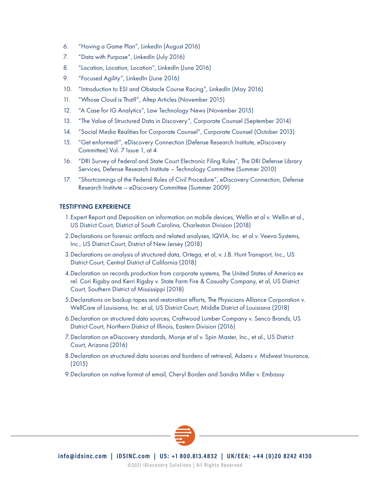- 6. "Having a Game Plan", LinkedIn (August 2016)
- 7. "Data with Purpose", LinkedIn (July 2016)
- 8. "Location, Location, Location", LinkedIn (June 2016)
- 9. "Focused Agility", LinkedIn (June 2016)
- 10. "Introduction to ESI and Obstacle Course Racing", LinkedIn (May 2016)
- 11. "Whose Cloud is That?", Altep Articles (November 2015)
- 12. "A Case for IG Analytics", Law Technology News (November 2015)
- 13. "The Value of Structured Data in Discovery", Corporate Counsel (September 2014)
- 14. "Social Media Realities for Corporate Counsel", Corporate Counsel (October 2013)
- 15. "Get enformed!", eDiscovery Connection (Defense Research Institute, eDiscovery Committee) Vol. 7 Issue 1, at 4
- 16. "DRI Survey of Federal and State Court Electronic Filing Rules", The DRI Defense Library Services, Defense Research Institute – Technology Committee (Summer 2010)
- 17. "Shortcomings of the Federal Rules of Civil Procedure", eDiscovery Connection, Defense Research Institute – eDiscovery Committee (Summer 2009)

## TESTIFYING EXPERIENCE

- 1.Expert Report and Deposition on information on mobile devices, Wellin et al v. Wellin et al., US District Court, District of South Carolina, Charleston Division (2018)
- 2.Declarations on forensic artifacts and related analyses, IQVIA, Inc. et al v. Veeva Systems, Inc., US District Court, District of New Jersey (2018)
- 3.Declarations on analysis of structured data, Ortega, et al, v. J.B. Hunt Transport, Inc., US District Court, Central District of California (2018)
- 4.Declaration on records production from corporate systems, The United States of America ex rel. Cori Rigsby and Kerri Rigsby v. State Farm Fire & Casualty Company, et al, US District Court, Southern District of Mississippi (2018)
- 5.Declarations on backup tapes and restoration efforts, The Physicians Alliance Corporation v. WellCare of Louisiana, Inc. et al, US District Court, Middle District of Louisiana (2018)
- 6.Declaration on structured data sources, Craftwood Lumber Company v. Senco Brands, US District Court, Northern District of Illinois, Eastern Division (2016)
- 7.Declaration on eDiscovery standards, Monje et al v. Spin Master, Inc., et al., US District Court, Arizona (2016)
- 8.Declaration on structured data sources and burdens of retrieval, Adams v. Midwest Insurance, (2015)
- 9.Declaration on native format of email, Cheryl Borden and Sandra Miller v. Embassy

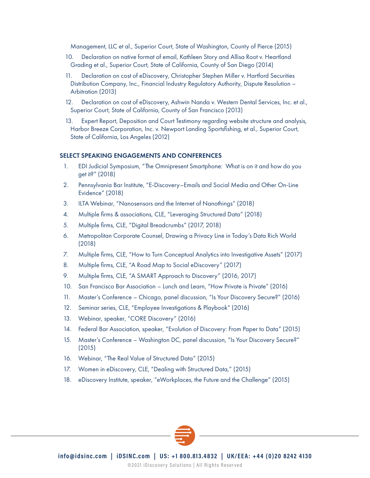Management, LLC et al., Superior Court, State of Washington, County of Pierce (2015)

- 10. Declaration on native format of email, Kathleen Story and Allisa Root v. Heartland Grading et al., Superior Court, State of California, County of San Diego (2014)
- 11. Declaration on cost of eDiscovery, Christopher Stephen Miller v. Hartford Securities Distribution Company, Inc., Financial Industry Regulatory Authority, Dispute Resolution – Arbitration (2013)
- 12. Declaration on cost of eDiscovery, Ashwin Nanda v. Western Dental Services, Inc. et al., Superior Court, State of California, County of San Francisco (2013)
- 13. Expert Report, Deposition and Court Testimony regarding website structure and analysis, Harbor Breeze Corporation, Inc. v. Newport Landing Sportsfishing, et al., Superior Court, State of California, Los Angeles (2012)

## SELECT SPEAKING ENGAGEMENTS AND CONFERENCES

- 1. EDI Judicial Symposium, "The Omnipresent Smartphone: What is on it and how do you get it?" (2018)
- 2. Pennsylvania Bar Institute, "E-Discovery–Emails and Social Media and Other On-Line Evidence" (2018)
- 3. ILTA Webinar, "Nanosensors and the Internet of Nanothings" (2018)
- 4. Multiple firms & associations, CLE, "Leveraging Structured Data" (2018)
- 5. Multiple firms, CLE, "Digital Breadcrumbs" (2017, 2018)
- 6. Metropolitan Corporate Counsel, Drawing a Privacy Line in Today's Data Rich World (2018)
- 7. Multiple firms, CLE, "How to Turn Conceptual Analytics into Investigative Assets" (2017)
- 8. Multiple firms, CLE, "A Road Map to Social eDiscovery" (2017)
- 9. Multiple firms, CLE, "A SMART Approach to Discovery" (2016, 2017)
- 10. San Francisco Bar Association Lunch and Learn, "How Private is Private" (2016)
- 11. Master's Conference Chicago, panel discussion, "Is Your Discovery Secure?" (2016)
- 12. Seminar series, CLE, "Employee Investigations & Playbook" (2016)
- 13. Webinar, speaker, "CORE Discovery" (2016)
- 14. Federal Bar Association, speaker, "Evolution of Discovery: From Paper to Data" (2015)
- 15. Master's Conference Washington DC, panel discussion, "Is Your Discovery Secure?" (2015)
- 16. Webinar, "The Real Value of Structured Data" (2015)
- 17. Women in eDiscovery, CLE, "Dealing with Structured Data," (2015)
- 18. eDiscovery Institute, speaker, "eWorkplaces, the Future and the Challenge" (2015)